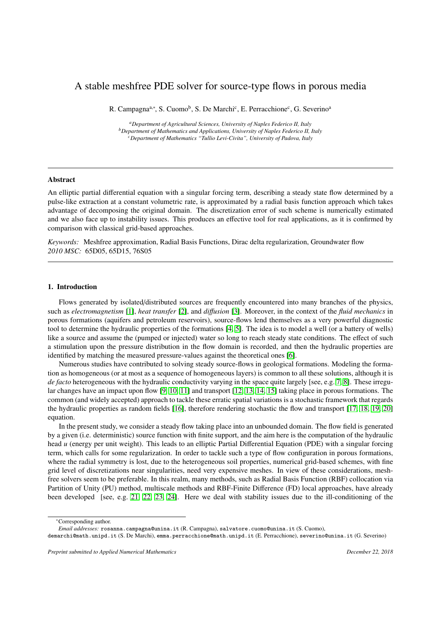# A stable meshfree PDE solver for source-type flows in porous media

R. Campagna<sup>a,∗</sup>, S. Cuomo<sup>b</sup>, S. De Marchi<sup>c</sup>, E. Perracchione<sup>c</sup>, G. Severino<sup>a</sup>

*<sup>a</sup>Department of Agricultural Sciences, University of Naples Federico II, Italy <sup>b</sup>Department of Mathematics and Applications, University of Naples Federico II, Italy <sup>c</sup>Department of Mathematics "Tullio Levi-Civita", University of Padova, Italy*

## Abstract

An elliptic partial differential equation with a singular forcing term, describing a steady state flow determined by a pulse-like extraction at a constant volumetric rate, is approximated by a radial basis function approach which takes advantage of decomposing the original domain. The discretization error of such scheme is numerically estimated and we also face up to instability issues. This produces an effective tool for real applications, as it is confirmed by comparison with classical grid-based approaches.

*Keywords:* Meshfree approximation, Radial Basis Functions, Dirac delta regularization, Groundwater flow *2010 MSC:* 65D05, 65D15, 76S05

# 1. Introduction

Flows generated by isolated/distributed sources are frequently encountered into many branches of the physics, such as *electromagnetism* [\[1\]](#page-12-0), *heat transfer* [\[2\]](#page-12-1), and *di*ff*usion* [\[3\]](#page-12-2). Moreover, in the context of the *fluid mechanics* in porous formations (aquifers and petroleum reservoirs), source-flows lend themselves as a very powerful diagnostic tool to determine the hydraulic properties of the formations [\[4,](#page-12-3) [5\]](#page-12-4). The idea is to model a well (or a battery of wells) like a source and assume the (pumped or injected) water so long to reach steady state conditions. The effect of such a stimulation upon the pressure distribution in the flow domain is recorded, and then the hydraulic properties are identified by matching the measured pressure-values against the theoretical ones [\[6\]](#page-12-5).

Numerous studies have contributed to solving steady source-flows in geological formations. Modeling the formation as homogeneous (or at most as a sequence of homogeneous layers) is common to all these solutions, although it is *de facto* heterogeneous with the hydraulic conductivity varying in the space quite largely [see, e.g. [7,](#page-12-6) [8\]](#page-12-7). These irregular changes have an impact upon flow [\[9,](#page-12-8) [10,](#page-12-9) [11\]](#page-12-10) and transport [\[12,](#page-12-11) [13,](#page-12-12) [14,](#page-12-13) [15\]](#page-12-14) taking place in porous formations. The common (and widely accepted) approach to tackle these erratic spatial variations is a stochastic framework that regards the hydraulic properties as random fields [\[16\]](#page-12-15), therefore rendering stochastic the flow and transport [\[17,](#page-12-16) [18,](#page-13-0) [19,](#page-13-1) [20\]](#page-13-2) equation.

In the present study, we consider a steady flow taking place into an unbounded domain. The flow field is generated by a given (i.e. deterministic) source function with finite support, and the aim here is the computation of the hydraulic head *u* (energy per unit weight). This leads to an elliptic Partial Differential Equation (PDE) with a singular forcing term, which calls for some regularization. In order to tackle such a type of flow configuration in porous formations, where the radial symmetry is lost, due to the heterogeneous soil properties, numerical grid-based schemes, with fine grid level of discretizations near singularities, need very expensive meshes. In view of these considerations, meshfree solvers seem to be preferable. In this realm, many methods, such as Radial Basis Function (RBF) collocation via Partition of Unity (PU) method, multiscale methods and RBF-Finite Difference (FD) local approaches, have already been developed [see, e.g. [21,](#page-13-3) [22,](#page-13-4) [23,](#page-13-5) [24\]](#page-13-6). Here we deal with stability issues due to the ill-conditioning of the

demarchi@math.unipd.it (S. De Marchi), emma.perracchione@math.unipd.it (E. Perracchione), severino@unina.it (G. Severino)

<sup>∗</sup>Corresponding author.

*Email addresses:* rosanna.campagna@unina.it (R. Campagna), salvatore.cuomo@unina.it (S. Cuomo),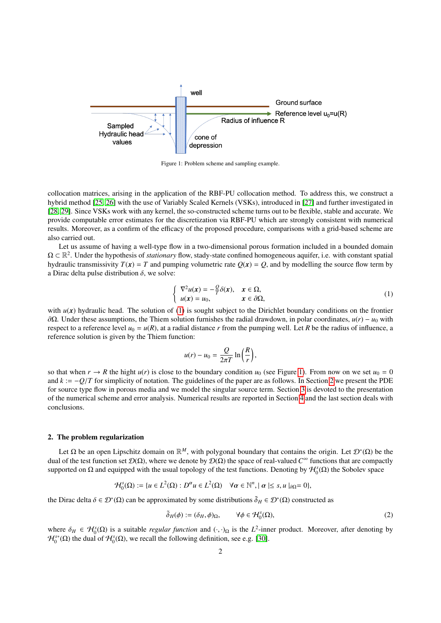<span id="page-1-1"></span>

Figure 1: Problem scheme and sampling example.

collocation matrices, arising in the application of the RBF-PU collocation method. To address this, we construct a hybrid method [\[25,](#page-13-7) [26\]](#page-13-8) with the use of Variably Scaled Kernels (VSKs), introduced in [\[27\]](#page-13-9) and further investigated in [\[28,](#page-13-10) [29\]](#page-13-11). Since VSKs work with any kernel, the so-constructed scheme turns out to be flexible, stable and accurate. We provide computable error estimates for the discretization via RBF-PU which are strongly consistent with numerical results. Moreover, as a confirm of the efficacy of the proposed procedure, comparisons with a grid-based scheme are also carried out.

Let us assume of having a well-type flow in a two-dimensional porous formation included in a bounded domain  $\Omega \subset \mathbb{R}^2$ . Under the hypothesis of *stationary* flow, stady-state confined homogeneous aquifer, i.e. with constant spatial hydraulic transmissivity  $T(x) = T$  and pumping volumetric rate  $Q(x) = Q$ , and by modelling the source flow term by a Dirac delta pulse distribution  $\delta$ , we solve:

<span id="page-1-0"></span>
$$
\begin{cases}\n\nabla^2 u(\mathbf{x}) = -\frac{Q}{T}\delta(\mathbf{x}), & \mathbf{x} \in \Omega, \\
u(\mathbf{x}) = u_0, & \mathbf{x} \in \partial\Omega,\n\end{cases}
$$
\n(1)

with  $u(x)$  hydraulic head. The solution of [\(1\)](#page-1-0) is sought subject to the Dirichlet boundary conditions on the frontier <sup>∂</sup>Ω. Under these assumptions, the Thiem solution furnishes the radial drawdown, in polar coordinates, *<sup>u</sup>*(*r*) <sup>−</sup> *<sup>u</sup>*<sup>0</sup> with respect to a reference level  $u_0 = u(R)$ , at a radial distance r from the pumping well. Let R be the radius of influence, a reference solution is given by the Thiem function:

$$
u(r) - u_0 = \frac{Q}{2\pi T} \ln\left(\frac{R}{r}\right),
$$

so that when  $r \to R$  the hight  $u(r)$  is close to the boundary condition  $u_0$  (see Figure [1\)](#page-1-1). From now on we set  $u_0 = 0$ and  $k := -Q/T$  for simplicity of notation. The guidelines of the paper are as follows. In Section [2](#page-1-2) we present the PDE for source type flow in porous media and we model the singular source term. Section [3](#page-4-0) is devoted to the presentation of the numerical scheme and error analysis. Numerical results are reported in Section [4](#page-7-0) and the last section deals with conclusions.

#### <span id="page-1-2"></span>2. The problem regularization

Let  $\Omega$  be an open Lipschitz domain on  $\mathbb{R}^M$ , with polygonal boundary that contains the origin. Let  $\mathcal{D}^*(\Omega)$  be the dual of the test function set  $D(\Omega)$ , where we denote by  $D(\Omega)$  the space of real-valued  $C^{\infty}$  functions that are compactly supported on  $\Omega$  and equipped with the usual topology of the test functions. Denoting by  $\mathcal{H}_0^s(\Omega)$  the Sobolev space

<span id="page-1-3"></span>
$$
\mathcal{H}_0^s(\Omega) := \{ u \in L^2(\Omega) : D^{\alpha} u \in L^2(\Omega) \quad \forall \alpha \in \mathbb{N}^n, \mid \alpha \mid \leq s, u \mid_{\partial \Omega} = 0 \},
$$

the Dirac delta  $\delta \in \mathcal{D}^*(\Omega)$  can be approximated by some distributions  $\tilde{\delta}_H \in \mathcal{D}^*(\Omega)$  constructed as

$$
\tilde{\delta}_H(\phi) := (\delta_H, \phi)_{\Omega}, \qquad \forall \phi \in \mathcal{H}_0^s(\Omega), \tag{2}
$$

where  $\delta_H \in \mathcal{H}_0^s(\Omega)$  is a suitable *regular function* and  $(\cdot, \cdot)_{\Omega}$  is the *L*<sup>2</sup>-inner product. Moreover, after denoting by  $\mathcal{H}^{s*}(\Omega)$  the dual of  $\mathcal{H}^{s}(\Omega)$  we recall the following definition, see e.g.  $\mathcal{H}_0^{s*}(\Omega)$  the dual of  $\mathcal{H}_0^s(\Omega)$ , we recall the following definition, see e.g. [\[30\]](#page-13-12).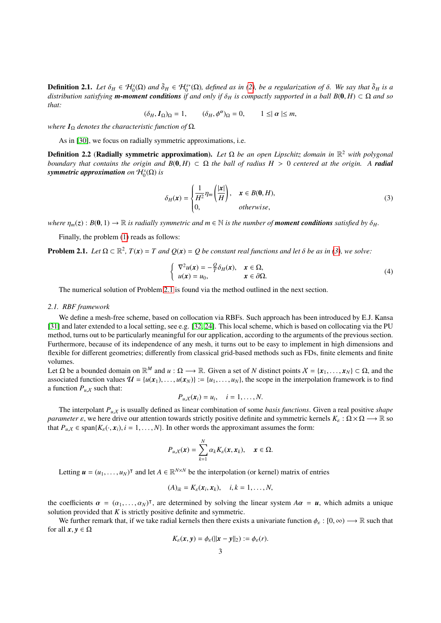**Definition 2.1.** Let  $\delta_H \in \mathcal{H}_0^s(\Omega)$  and  $\tilde{\delta}_H \in \mathcal{H}_0^{s*}(\Omega)$ , defined as in [\(2\)](#page-1-3), be a regularization of  $\delta$ . We say that  $\tilde{\delta}_H$  is a distribution satisfying **m-moment conditions** if and only if  $\delta_H$  is com *distribution satisfying m-moment conditions* if and only if  $\delta_H$  is compactly supported in a ball  $B(0, H) \subset \Omega$  and so *that:*

 $(\delta_H, I_\Omega)_{\Omega} = 1,$   $(\delta_H, \phi^{\alpha})_{\Omega} = 0,$   $1 \leq |\alpha| \leq m,$ 

*where*  $I_{\Omega}$  *denotes the characteristic function of*  $\Omega$ *.* 

As in [\[30\]](#page-13-12), we focus on radially symmetric approximations, i.e.

Definition 2.2 (Radially symmetric approximation). *Let* Ω *be an open Lipschitz domain in* R <sup>2</sup> *with polygonal boundary that contains the origin and*  $B(0, H) \subset \Omega$  *the ball of radius H* > 0 *centered at the origin.* A *radial*  $s$ ymmetric approximation on  $\mathcal{H}_0^s(\Omega)$  is

<span id="page-2-0"></span>
$$
\delta_H(x) = \begin{cases} \frac{1}{H^2} \eta_m \left(\frac{|x|}{H}\right), & x \in B(0, H), \\ 0, & otherwise, \end{cases}
$$
(3)

*where*  $\eta_m(z)$ :  $B(0, 1) \to \mathbb{R}$  *is radially symmetric and*  $m \in \mathbb{N}$  *is the number of moment conditions satisfied by*  $\delta_H$ .

Finally, the problem [\(1\)](#page-1-0) reads as follows:

<span id="page-2-1"></span>**Problem 2.1.** *Let*  $\Omega \subset \mathbb{R}^2$ ,  $T(x) = T$  *and*  $Q(x) = Q$  *be constant real functions and let*  $\delta$  *be as in* [\(3\)](#page-2-0)*, we solve:* 

<span id="page-2-2"></span>
$$
\begin{cases}\n\nabla^2 u(\mathbf{x}) = -\frac{Q}{T} \delta_H(\mathbf{x}), & \mathbf{x} \in \Omega, \\
u(\mathbf{x}) = u_0, & \mathbf{x} \in \partial \Omega.\n\end{cases}
$$
\n(4)

The numerical solution of Problem [2.1](#page-2-1) is found via the method outlined in the next section.

#### *2.1. RBF framework*

We define a mesh-free scheme, based on collocation via RBFs. Such approach has been introduced by E.J. Kansa [\[31\]](#page-13-13) and later extended to a local setting, see e.g. [\[32,](#page-13-14) [24\]](#page-13-6). This local scheme, which is based on collocating via the PU method, turns out to be particularly meaningful for our application, according to the arguments of the previous section. Furthermore, because of its independence of any mesh, it turns out to be easy to implement in high dimensions and flexible for different geometries; differently from classical grid-based methods such as FDs, finite elements and finite volumes.

Let  $\Omega$  be a bounded domain on  $\mathbb{R}^M$  and  $u : \Omega \longrightarrow \mathbb{R}$ . Given a set of *N* distinct points  $X = \{x_1, \ldots, x_N\} \subset \Omega$ , and the associated function values  $\mathcal{U} = \{u(x_1), \ldots, u(x_N)\} = \{u_1, \ldots, u_N\}$  the scope in the intern associated function values  $\mathcal{U} = \{u(x_1), \dots, u(x_N)\} := \{u_1, \dots, u_N\}$ , the scope in the interpolation framework is to find a function  $P_{u}$  such that:

$$
P_{u,X}(x_i)=u_i, \quad i=1,\ldots,N.
$$

The interpolant  $P_{u,x}$  is usually defined as linear combination of some *basis functions*. Given a real positive *shape*<br>grades a via here drive our ettention towards strictly positive definite and symmetric kernels  $K : \$ *parameter*  $\varepsilon$ , we here drive our attention towards strictly positive definite and symmetric kernels  $K_{\varepsilon} : \Omega \times \Omega \longrightarrow \mathbb{R}$  so that  $P_{u,X} \in \text{span}\{K_{\varepsilon}(\cdot, x_i), i = 1, ..., N\}$ . In other words the approximant assumes the form:

$$
P_{u,X}(\boldsymbol{x}) = \sum_{k=1}^N \alpha_k K_{\varepsilon}(\boldsymbol{x}, \boldsymbol{x}_k), \quad \boldsymbol{x} \in \Omega.
$$

Letting  $u = (u_1, \dots, u_N)^\intercal$  and let  $A \in \mathbb{R}^{N \times N}$  be the interpolation (or kernel) matrix of entries

$$
(A)_{ik}=K_{\varepsilon}(\boldsymbol{x}_i,\boldsymbol{x}_k),\quad i,k=1,\ldots,N,
$$

the coefficients  $\alpha = (\alpha_1, \dots, \alpha_N)^\intercal$ , are determined by solving the linear system  $A\alpha = u$ , which admits a unique solution provided that K is strictly positive definite and symmetric solution provided that *K* is strictly positive definite and symmetric.

We further remark that, if we take radial kernels then there exists a univariate function  $\phi_{\varepsilon}$ :  $[0,\infty) \longrightarrow \mathbb{R}$  such that for all  $x, y \in \Omega$ 

$$
K_{\varepsilon}(x,y)=\phi_{\varepsilon}(\|x-y\|_2):=\phi_{\varepsilon}(r).
$$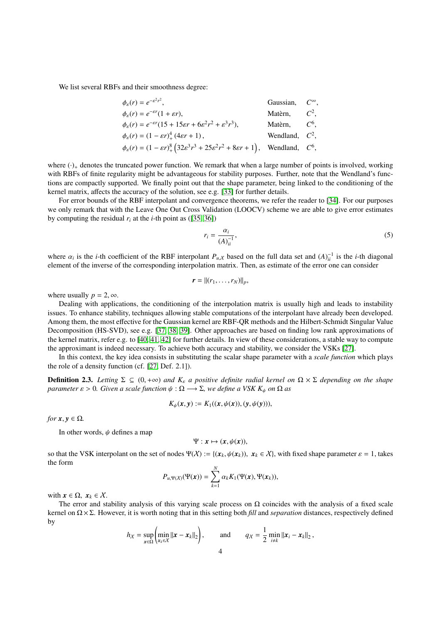We list several RBFs and their smoothness degree:

$$
\phi_{\varepsilon}(r) = e^{-\varepsilon^2 r^2},
$$
\nGaussian,  $C^{\infty}$ ,  
\n
$$
\phi_{\varepsilon}(r) = e^{-\varepsilon r} (1 + \varepsilon r),
$$
\nMatèrn,  $C^2$ ,  
\n
$$
\phi_{\varepsilon}(r) = e^{-\varepsilon r} (15 + 15\varepsilon r + 6\varepsilon^2 r^2 + \varepsilon^3 r^3),
$$
\nMatèrn,  $C^6$ ,  
\n
$$
\phi_{\varepsilon}(r) = (1 - \varepsilon r)^4_+ (4\varepsilon r + 1),
$$
\nWendland,  $C^2$ ,  
\n
$$
\phi_{\varepsilon}(r) = (1 - \varepsilon r)^8_+ (32\varepsilon^3 r^3 + 25\varepsilon^2 r^2 + 8\varepsilon r + 1),
$$
\nWendland,  $C^6$ ,

where  $(\cdot)_+$  denotes the truncated power function. We remark that when a large number of points is involved, working with RBFs of finite regularity might be advantageous for stability purposes. Further, note that the Wendland's functions are compactly supported. We finally point out that the shape parameter, being linked to the conditioning of the kernel matrix, affects the accuracy of the solution, see e.g. [\[33\]](#page-13-15) for further details.

For error bounds of the RBF interpolant and convergence theorems, we refer the reader to [\[34\]](#page-13-16). For our purposes we only remark that with the Leave One Out Cross Validation (LOOCV) scheme we are able to give error estimates by computing the residual  $r_i$  at the *i*-th point as ([\[35,](#page-13-17) [36\]](#page-13-18))

<span id="page-3-0"></span>
$$
r_i = \frac{\alpha_i}{\left(A\right)^{-1}_{ii}},\tag{5}
$$

where  $\alpha_i$  is the *i*-th coefficient of the RBF interpolant  $P_{u,x}$  based on the full data set and  $(A)^{-1}_{u}$  is the *i*-th diagonal<br>element of the inverse of the corresponding interpolation matrix. Then as estimate of th element of the inverse of the corresponding interpolation matrix. Then, as estimate of the error one can consider

$$
\boldsymbol{r} = ||(r_1,\ldots,r_N)||_p,
$$

where usually  $p = 2, \infty$ .

Dealing with applications, the conditioning of the interpolation matrix is usually high and leads to instability issues. To enhance stability, techniques allowing stable computations of the interpolant have already been developed. Among them, the most effective for the Gaussian kernel are RBF-QR methods and the Hilbert-Schmidt Singular Value Decomposition (HS-SVD), see e.g. [\[37,](#page-13-19) [38,](#page-13-20) [39\]](#page-13-21). Other approaches are based on finding low rank approximations of the kernel matrix, refer e.g. to [\[40,](#page-13-22) [41,](#page-13-23) [42\]](#page-13-24) for further details. In view of these considerations, a stable way to compute the approximant is indeed necessary. To achieve both accuracy and stability, we consider the VSKs [\[27\]](#page-13-9).

In this context, the key idea consists in substituting the scalar shape parameter with a *scale function* which plays the role of a density function (cf. [\[27,](#page-13-9) Def. 2.1]).

**Definition 2.3.** Letting  $\Sigma \subseteq (0, +\infty)$  and  $K_{\varepsilon}$  a positive definite radial kernel on  $\Omega \times \Sigma$  depending on the shape *parameter*  $\varepsilon > 0$ *. Given a scale function*  $\psi : \Omega \longrightarrow \Sigma$ *, we define a VSK K<sub>ψ</sub> on*  $\Omega$  *as* 

$$
K_{\psi}(x, y) := K_1((x, \psi(x)), (y, \psi(y))),
$$

*for*  $x, y \in \Omega$ *.* 

In other words,  $\psi$  defines a map

$$
\Psi: x \mapsto (x, \psi(x)),
$$

so that the VSK interpolant on the set of nodes  $\Psi(\mathcal{X}) := \{(\mathbf{x}_k, \psi(\mathbf{x}_k)), \mathbf{x}_k \in \mathcal{X}\}\)$ , with fixed shape parameter  $\varepsilon = 1$ , takes the form

$$
P_{u,\Psi(X)}(\Psi(\boldsymbol{x})) = \sum_{k=1}^N \alpha_k K_1(\Psi(\boldsymbol{x}), \Psi(\boldsymbol{x}_k)),
$$

with  $x \in \Omega$ ,  $x_k \in \mathcal{X}$ .

The error and stability analysis of this varying scale process on  $\Omega$  coincides with the analysis of a fixed scale kernel on Ω × Σ. However, it is worth noting that in this setting both *fill* and *separation* distances, respectively defined by

$$
h_X = \sup_{\mathbf{x}\in\Omega}\left(\min_{\mathbf{x}_k\in\mathcal{X}}\|\mathbf{x}-\mathbf{x}_k\|_2\right), \quad \text{and} \quad q_X = \frac{1}{2}\min_{i\neq k}\|\mathbf{x}_i-\mathbf{x}_k\|_2\,,
$$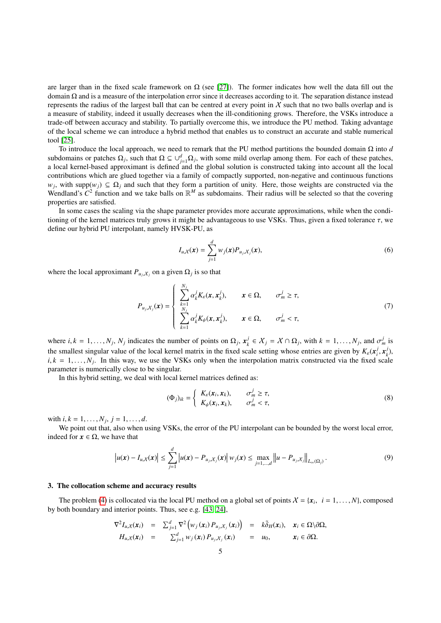are larger than in the fixed scale framework on  $\Omega$  (see [\[27\]](#page-13-9)). The former indicates how well the data fill out the domain Ω and is a measure of the interpolation error since it decreases according to it. The separation distance instead represents the radius of the largest ball that can be centred at every point in  $X$  such that no two balls overlap and is a measure of stability, indeed it usually decreases when the ill-conditioning grows. Therefore, the VSKs introduce a trade-off between accuracy and stability. To partially overcome this, we introduce the PU method. Taking advantage of the local scheme we can introduce a hybrid method that enables us to construct an accurate and stable numerical tool [\[25\]](#page-13-7).

To introduce the local approach, we need to remark that the PU method partitions the bounded domain Ω into *d* subdomains or patches  $\Omega_j$ , such that  $\Omega \subseteq \cup_{j=1}^d \Omega_j$ , with some mild overlap among them. For each of these patches, a local kernel-based approximant is defined and the global solution is constructed taking into account all the local contributions which are glued together via a family of compactly supported, non-negative and continuous functions  $w_j$ , with supp $(w_j) \subseteq \Omega_j$  and such that they form a partition of unity. Here, those weights are constructed via the Wendland's  $C^2$  function and we take balls on  $\mathbb{R}^M$  as subdomains. Their radius will be selected so that the covering properties are satisfied.

In some cases the scaling via the shape parameter provides more accurate approximations, while when the conditioning of the kernel matrices truly grows it might be advantageous to use VSKs. Thus, given a fixed tolerance  $\tau$ , we define our hybrid PU interpolant, namely HVSK-PU, as

$$
I_{u,X}(\boldsymbol{x}) = \sum_{j=1}^d w_j(\boldsymbol{x}) P_{u_j,X_j}(\boldsymbol{x}),\tag{6}
$$

where the local approximant  $P_{u_j, X_j}$  on a given  $\Omega_j$  is so that

$$
P_{u_j, X_j}(\mathbf{x}) = \begin{cases} \sum_{k=1}^{N_j} \alpha_k^j K_{\varepsilon}(\mathbf{x}, \mathbf{x}_k^j), & \mathbf{x} \in \Omega, & \sigma_m^j \ge \tau, \\ \sum_{k=1}^{N_j} \alpha_k^j K_{\psi}(\mathbf{x}, \mathbf{x}_k^j), & \mathbf{x} \in \Omega, & \sigma_m^j < \tau, \end{cases}
$$
(7)

where  $i, k = 1, \ldots, N_j, N_j$  indicates the number of points on  $\Omega_j, x_k^j$  $\lambda^j \in X_j = X \cap \Omega_j$ , with  $k = 1, ..., N_j$ , and  $\sigma^j_m$  is the smallest singular value of the local kernel matrix in the fixed scale setting whose entries are given by  $K_{\epsilon}(\mathbf{x}_{i}^{j})$  $\frac{j}{i}$ ,  $\frac{x}{k}$  $\binom{J}{k}$ ,  $i, k = 1, \ldots, N_j$ . In this way, we use the VSKs only when the interpolation matrix constructed via the fixed scale parameter is numerically close to be singular. parameter is numerically close to be singular.

In this hybrid setting, we deal with local kernel matrices defined as:

<span id="page-4-1"></span>
$$
(\Phi_j)_{ik} = \begin{cases} K_{\varepsilon}(x_i, x_k), & \sigma_m^j \ge \tau, \\ K_{\psi}(x_i, x_k), & \sigma_m^j < \tau, \end{cases}
$$
 (8)

with  $i, k = 1, \ldots, N_j, j = 1, \ldots, d$ .<br>We point out that also when y

We point out that, also when using VSKs, the error of the PU interpolant can be bounded by the worst local error, indeed for  $x \in \Omega$ , we have that

<span id="page-4-2"></span>
$$
\left| u(x) - I_{u,X}(x) \right| \leq \sum_{j=1}^d \left| u(x) - P_{u_j,X_j}(x) \right| w_j(x) \leq \max_{j=1,\dots,d} \left\| u - P_{u_j,X_j} \right\|_{L_\infty(\Omega_j)}.
$$
\n(9)

## <span id="page-4-0"></span>3. The collocation scheme and accuracy results

The problem [\(4\)](#page-2-2) is collocated via the local PU method on a global set of points  $X = \{x_i, i = 1, ..., N\}$ , composed poth boundary and interior points. Thus, see e.g.  $[43, 24]$ by both boundary and interior points. Thus, see e.g. [\[43,](#page-13-25) [24\]](#page-13-6),

$$
\nabla^2 I_{u,X}(\mathbf{x}_i) = \sum_{j=1}^d \nabla^2 \Big( w_j(\mathbf{x}_i) P_{u_j,X_j}(\mathbf{x}_i) \Big) = k \tilde{\delta}_H(\mathbf{x}_i), \quad \mathbf{x}_i \in \Omega \setminus \partial \Omega, \nH_{u,X}(\mathbf{x}_i) = \sum_{j=1}^d w_j(\mathbf{x}_i) P_{u_j,X_j}(\mathbf{x}_i) = u_0, \qquad \mathbf{x}_i \in \partial \Omega.
$$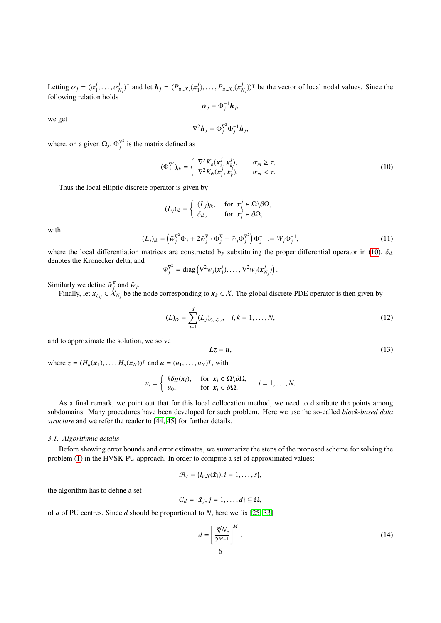Letting  $\alpha_j = (\alpha_1^j)$ <br>following relation  $_1,\ldots, u$ <br>n holds *j*  $N_j$ <sup>T</sup> and let  $h_j = (P_{u_j, X_j}(x_j)$  $P_{u_j,X_j}(x_j^j)$  $\binom{j}{N_j}$ )<sup>T</sup> be the vector of local nodal values. Since the following relation holds

 $\alpha_j = \Phi_j^{-1} h_j$ 

we get

$$
\nabla^2 \boldsymbol{h}_j = \Phi_j^{\nabla^2} \Phi_j^{-1} \boldsymbol{h}_j,
$$

where, on a given  $\Omega_j$ ,  $\Phi_j^{\nabla^2}$  is the matrix defined as

<span id="page-5-0"></span>
$$
(\Phi_j^{\nabla^2})_{ik} = \begin{cases} \nabla^2 K_{\varepsilon}(\mathbf{x}_i^j, \mathbf{x}_k^j), & \sigma_m \ge \tau, \\ \nabla^2 K_{\psi}(\mathbf{x}_i^j, \mathbf{x}_k^j), & \sigma_m < \tau. \end{cases} \tag{10}
$$

Thus the local elliptic discrete operator is given by

<span id="page-5-2"></span>
$$
(L_j)_{ik} = \begin{cases} (\bar{L}_j)_{ik}, & \text{for } x_i^j \in \Omega \setminus \partial \Omega, \\ \delta_{ik}, & \text{for } x_i^j \in \partial \Omega, \end{cases}
$$

with

$$
(\overline{L}_j)_{ik} = \left(\overline{w}_j^{\nabla^2} \Phi_j + 2\overline{w}_j^{\nabla} \cdot \Phi_j^{\nabla} + \overline{w}_j \Phi_j^{\nabla^2}\right) \Phi_j^{-1} := W_j \Phi_j^{-1},\tag{11}
$$

where the local differentiation matrices are constructed by substituting the proper differential operator in [\(10\)](#page-5-0),  $\delta_{ik}$ denotes the Kronecker delta, and

$$
\bar{w}_j^{\nabla^2} = \text{diag}\left(\nabla^2 w_j(\mathbf{x}_1^j), \dots, \nabla^2 w_j(\mathbf{x}_{N_j}^j)\right)
$$

Similarly we define  $\bar{w}_j^{\nabla}$  and  $\bar{w}_j$ .

Finally, let  $x_{\zeta_{kj}} \in \dot{X}_{N_j}$  be the node corresponding to  $x_k \in X$ . The global discrete PDE operator is then given by

<span id="page-5-3"></span>
$$
(L)_{ik} = \sum_{j=1}^{d} (L_j)_{\zeta_{ij}, \zeta_{kj}}, \quad i, k = 1, \dots, N,
$$
\n(12)

and to approximate the solution, we solve

<span id="page-5-4"></span>
$$
Lz = u,\tag{13}
$$

where  $z = (H_u(x_1), \dots, H_u(x_N))^\mathsf{T}$  and  $u = (u_1, \dots, u_N)^\mathsf{T}$ , with

$$
u_i = \begin{cases} k\delta_H(\mathbf{x}_i), & \text{for } \mathbf{x}_i \in \Omega \setminus \partial \Omega, \\ u_0, & \text{for } \mathbf{x}_i \in \partial \Omega, \end{cases} \quad i = 1, \ldots, N.
$$

As a final remark, we point out that for this local collocation method, we need to distribute the points among subdomains. Many procedures have been developed for such problem. Here we use the so-called *block-based data structure* and we refer the reader to [\[44,](#page-13-26) [45\]](#page-13-27) for further details.

#### *3.1. Algorithmic details*

Before showing error bounds and error estimates, we summarize the steps of the proposed scheme for solving the problem [\(1\)](#page-1-0) in the HVSK-PU approach. In order to compute a set of approximated values:

$$
\mathcal{A}_s = \{I_{u,X}(\tilde{\boldsymbol{x}}_i), i=1,\ldots,s\},\
$$

the algorithm has to define a set

$$
C_d = \{\bar{x}_j, j = 1, \ldots, d\} \subseteq \Omega,
$$

of *d* of PU centres. Since *d* should be proportional to *N*, here we fix [\[25,](#page-13-7) [33\]](#page-13-15)

<span id="page-5-1"></span>
$$
d = \left[\frac{\sqrt[4]{N_c}}{2^{M-1}}\right]^M.
$$
\n(14)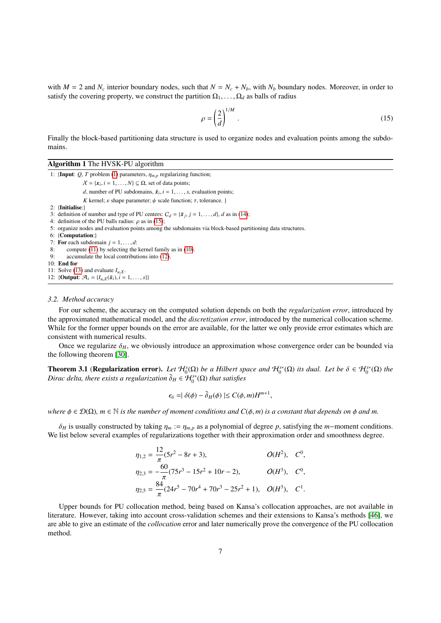with  $M = 2$  and  $N_c$  interior boundary nodes, such that  $N = N_c + N_b$ , with  $N_b$  boundary nodes. Moreover, in order to satisfy the covering property, we construct the partition  $\Omega_1, \ldots, \Omega_d$  as balls of radius

<span id="page-6-0"></span>
$$
\rho = \left(\frac{2}{d}\right)^{1/M}.\tag{15}
$$

Finally the block-based partitioning data structure is used to organize nodes and evaluation points among the subdomains.

#### Algorithm 1 The HVSK-PU algorithm

1: {Input:  $Q$ , *T* problem [\(1\)](#page-1-0) parameters,  $\eta_{m,p}$  regularizing function;  $X = \{x_i, i = 1, ..., N\} \subseteq \Omega$ , set of data points; *d*, number of PU subdomains,  $\tilde{x}_i$ ,  $i = 1, \ldots, s$ , evaluation points; *K* kernel;  $\varepsilon$  shape parameter;  $\psi$  scale function;  $\tau$ , tolerance. } 2: {Initialise:} 3: definition of number and type of PU centers:  $C_d = {\bar{x}_j, j = 1, ..., d}$ , *d* as in [\(14\)](#page-5-1);<br>4: definition of the PU balls radius: *o* as in (15); 4: definition of the PU balls radius:  $\rho$  as in [\(15\)](#page-6-0); 5: organize nodes and evaluation points among the subdomains via block-based partitioning data structures. 6: {Computation:} 7: **For** each subdomain  $j = 1, ..., d$ :<br>8: compute (11) by selecting the compute  $(11)$  by selecting the kernel family as in  $(10)$ . 9: accumulate the local contributions into [\(12\)](#page-5-3). 10: End for 11: Solve [\(13\)](#page-5-4) and evaluate  $I_{u,x}$ . 12: {**Output**:  $\mathcal{A}_s = \{I_{u,X}(\tilde{x}_i), i = 1, ..., s\}$ }

#### *3.2. Method accuracy*

For our scheme, the accuracy on the computed solution depends on both the *regularization error*, introduced by the approximated mathematical model, and the *discretization error*, introduced by the numerical collocation scheme. While for the former upper bounds on the error are available, for the latter we only provide error estimates which are consistent with numerical results.

Once we regularize  $\delta_H$ , we obviously introduce an approximation whose convergence order can be bounded via the following theorem [\[30\]](#page-13-12).

**Theorem 3.1 (Regularization error).** *Let*  $H_0^s(\Omega)$  *be a Hilbert space and*  $H_0^{s*}(\Omega)$  *its dual. Let be*  $\delta \in H_0^{s*}(\Omega)$  *the*<br>Dirac delta there exists a regularization  $\tilde{\delta}_v \in H_0^{s*}(\Omega)$  that satisfies *Dirac delta, there exists a regularization*  $\tilde{\delta}_H \in \mathcal{H}_0^{s*}(\Omega)$  *that satisfies* 

$$
\epsilon_{\delta} = |\delta(\phi) - \tilde{\delta}_H(\phi)| \le C(\phi, m) H^{m+1},
$$

*where*  $\phi \in \mathcal{D}(\Omega)$ *, m*  $\in \mathbb{N}$  *is the number of moment conditions and*  $C(\phi, m)$  *is a constant that depends on*  $\phi$  *and m.* 

 $\delta_H$  is usually constructed by taking  $\eta_m := \eta_{m,p}$  as a polynomial of degree *p*, satisfying the *m*−moment conditions. We list below several examples of regularizations together with their approximation order and smoothness degree.

$$
\eta_{1,2} = \frac{12}{\pi} (5r^2 - 8r + 3), \qquad O(H^2), \quad C^0,
$$
  
\n
$$
\eta_{2,3} = -\frac{60}{\pi} (75r^3 - 15r^2 + 10r - 2), \qquad O(H^3), \quad C^0,
$$
  
\n
$$
\eta_{2,5} = \frac{84}{\pi} (24r^5 - 70r^4 + 70r^3 - 25r^2 + 1), \quad O(H^3), \quad C^1.
$$

Upper bounds for PU collocation method, being based on Kansa's collocation approaches, are not available in literature. However, taking into account cross-validation schemes and their extensions to Kansa's methods [\[46\]](#page-13-28), we are able to give an estimate of the *collocation* error and later numerically prove the convergence of the PU collocation method.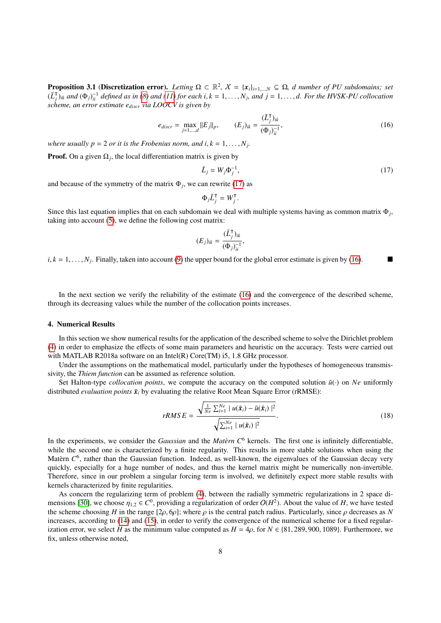**Proposition 3.1 (Discretization error).** *Letting*  $\Omega \subset \mathbb{R}^2$ ,  $\mathcal{X} = \{x_i\}_{i=1,\dots,N} \subseteq \Omega$ , d number of PU subdomains; set  $(\overline{I})$ , and  $(\overline{I})$ , and  $(\overline{I})$ , and  $(\overline{I})$ , and  $(\overline{I})$ , and  $(\overline{I})$ , and  $(\overline{I})$  s  $(\bar L_i^{\intercal}$  $\int_{B} \bar{f}_{ik}$  and  $(\Phi_j)^{-1}_{ii}$  defined as in [\(8\)](#page-4-1) and [\(11\)](#page-5-2) for each i,  $k = 1, ..., N_j$ , and  $j = 1, ..., d$ . For the HVSK-PU collocation is a party estimate e with LOOCV is given by *scheme, an error estimate ediscr via LOOCV is given by*

<span id="page-7-2"></span>
$$
e_{discr} = \max_{j=1,\dots,d} ||E_j||_p, \qquad (E_j)_{ik} = \frac{(\bar{L}_j^{\mathsf{T}})_{ik}}{(\Phi_j)_{ii}^{-1}}, \qquad (16)
$$

*where usually*  $p = 2$  *or it is the Frobenius norm, and*  $i, k = 1, \ldots, N_j$ *.* 

**Proof.** On a given  $\Omega_j$ , the local differentiation matrix is given by

<span id="page-7-1"></span>
$$
\bar{L}_j = W_j \Phi_j^{-1},\tag{17}
$$

and because of the symmetry of the matrix  $\Phi_j$ , we can rewrite [\(17\)](#page-7-1) as

$$
\Phi_j \bar{L}_j^{\mathsf{T}} = W_j^{\mathsf{T}}
$$

Since this last equation implies that on each subdomain we deal with multiple systems having as common matrix  $\Phi_j$ , taking into account [\(5\)](#page-3-0), we define the following cost matrix:

$$
(E_j)_{ik} = \frac{(\bar{L}_j^{\mathsf{T}})_{ik}}{(\Phi_j)_{ii}^{-1}},
$$

 $i, k = 1, \dots, N_j$ . Finally, taken into account [\(9\)](#page-4-2) the upper bound for the global error estimate is given by [\(16\)](#page-7-2).

In the next section we verify the reliability of the estimate [\(16\)](#page-7-2) and the convergence of the described scheme, through its decreasing values while the number of the collocation points increases.

### <span id="page-7-0"></span>4. Numerical Results

In this section we show numerical results for the application of the described scheme to solve the Dirichlet problem [\(4\)](#page-2-2) in order to emphasize the effects of some main parameters and heuristic on the accuracy. Tests were carried out with MATLAB R2018a software on an Intel $(R)$  Core $(TM)$  is, 1.8 GHz processor.

Under the assumptions on the mathematical model, particularly under the hypotheses of homogeneous transmissivity, the *Thiem function* can be assumed as reference solution.

Set Halton-type *collocation points*, we compute the accuracy on the computed solution  $\tilde{u}(\cdot)$  on *Ne* uniformly distributed *evaluation points*  $\tilde{x}_i$  by evaluating the relative Root Mean Square Error (rRMSE):

$$
rRMSE = \frac{\sqrt{\frac{1}{Ne}\sum_{i=1}^{Ne} |u(\tilde{\boldsymbol{x}}_i) - \tilde{u}(\tilde{\boldsymbol{x}}_i)|^2}}{\sqrt{\sum_{i=1}^{Ne} |u(\tilde{\boldsymbol{x}}_i)|^2}}.
$$
\n(18)

In the experiments, we consider the *Gaussian* and the *Matèrn C*<sup>6</sup> kernels. The first one is infinitely differentiable, while the second one is characterized by a finite regularity. This results in more stable solutions when using the Matèrn  $C^6$ , rather than the Gaussian function. Indeed, as well-known, the eigenvalues of the Gaussian decay very quickly, especially for a huge number of nodes, and thus the kernel matrix might be numerically non-invertible. Therefore, since in our problem a singular forcing term is involved, we definitely expect more stable results with kernels characterized by finite regularities.

As concern the regularizing term of problem [\(4\)](#page-2-2), between the radially symmetric regularizations in 2 space di-mensions [\[30\]](#page-13-12), we choose  $\eta_{1,2} \in C^0$ , providing a regularization of order  $O(H^2)$ . About the value of *H*, we have tested<br>the scheme choosing *H* in the range [20, 60]; where *o* is the central patch radius. Particular the scheme choosing *H* in the range  $[2\rho, 6\rho]$ ; where  $\rho$  is the central patch radius. Particularly, since  $\rho$  decreases as *N* increases, according to [\(14\)](#page-5-1) and [\(15\)](#page-6-0), in order to verify the convergence of the numerical scheme for a fixed regularization error, we select *H* as the minimum value computed as  $H = 4\rho$ , for  $N \in \{81, 289, 900, 1089\}$ . Furthermore, we fix, unless otherwise noted,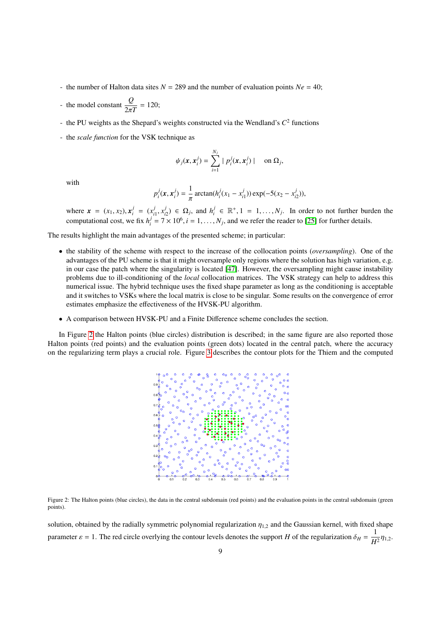- the number of Halton data sites  $N = 289$  and the number of evaluation points  $Ne = 40$ ;
- the model constant  $\frac{Q}{Q}$  $\frac{2}{2\pi T}$  = 120;
- the PU weights as the Shepard's weights constructed via the Wendland's  $C^2$  functions
- the *scale function* for the VSK technique as

$$
\psi_j(\mathbf{x}, \mathbf{x}_i^j) = \sum_{i=1}^{N_j} |p_i^j(\mathbf{x}, \mathbf{x}_i^j)| \quad \text{on } \Omega_j,
$$

with

$$
p_i^j(\mathbf{x}, \mathbf{x}_i^j) = \frac{1}{\pi} \arctan(h_i^j(x_1 - x_{i1}^j)) \exp(-5(x_2 - x_{i2}^j)),
$$

where  $\mathbf{x} = (x_1, x_2), \mathbf{x}_i^j$  $\frac{j}{i} = (x_i^j)$  $\frac{j}{i!}, x^j_i$  $i<sub>i</sub>$ <sup>*j*</sup></sup><sub>*i*</sub><sup>2</sup>) ∈ Ω<sub>*j*</sub>, and *h*<sup>*j*</sup><sub>*i*</sub> *i*  $\mathbf{R}^j$  ∈  $\mathbb{R}^+, 1 = 1, \ldots, N_j$ . In order to not further burden the  $\mathbf{R}^j$  and two area the appleton to  $\mathbf{R}^j$  for further details. computational cost, we fix  $h_i^j$  $j_i^j = 7 \times 10^6$ ,  $i = 1, ..., N_j$ , and we refer the reader to [\[25\]](#page-13-7) for further details.

The results highlight the main advantages of the presented scheme; in particular:

- the stability of the scheme with respect to the increase of the collocation points (*oversampling*). One of the advantages of the PU scheme is that it might oversample only regions where the solution has high variation, e.g. in our case the patch where the singularity is located [\[47\]](#page-14-0). However, the oversampling might cause instability problems due to ill-conditioning of the *local* collocation matrices. The VSK strategy can help to address this numerical issue. The hybrid technique uses the fixed shape parameter as long as the conditioning is acceptable and it switches to VSKs where the local matrix is close to be singular. Some results on the convergence of error estimates emphasize the effectiveness of the HVSK-PU algorithm.
- A comparison between HVSK-PU and a Finite Difference scheme concludes the section.

<span id="page-8-0"></span>In Figure [2](#page-8-0) the Halton points (blue circles) distribution is described; in the same figure are also reported those Halton points (red points) and the evaluation points (green dots) located in the central patch, where the accuracy on the regularizing term plays a crucial role. Figure [3](#page-9-0) describes the contour plots for the Thiem and the computed



Figure 2: The Halton points (blue circles), the data in the central subdomain (red points) and the evaluation points in the central subdomain (green points).

solution, obtained by the radially symmetric polynomial regularization  $\eta_{1,2}$  and the Gaussian kernel, with fixed shape parameter  $\varepsilon = 1$ . The red circle overlying the contour levels denotes the support *H* of the regularization  $\delta_H = \frac{1}{H}$  $\frac{1}{H^2} \eta_{1,2}$ .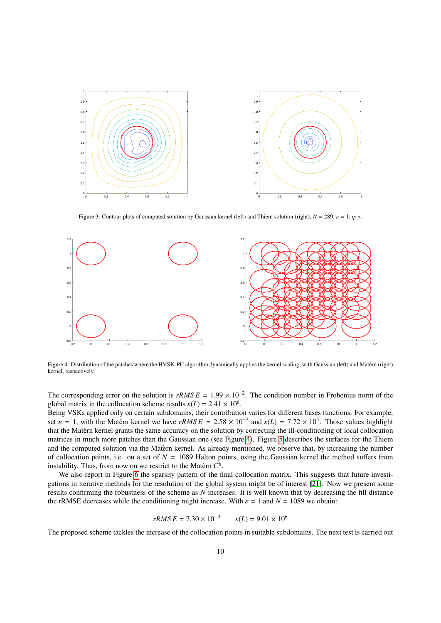<span id="page-9-0"></span>

Figure 3: Contour plots of computed solution by Gaussian kernel (left) and Thiem solution (right),  $N = 289$ ,  $\varepsilon = 1$ ,  $\eta_{1,2}$ .

<span id="page-9-1"></span>

Figure 4: Distribution of the patches where the HVSK-PU algorithm dynamically applies the kernel scaling, with Gaussian (left) and Matern (right) ` kernel, respectively.

The corresponding error on the solution is  $rRMSE = 1.99 \times 10^{-2}$ . The condition number in Frobenius norm of the global matrix in the collocation scheme results  $\nu(I) = 2.41 \times 10^6$ global matrix in the collocation scheme results  $\kappa(L) = 2.41 \times 10^6$ .<br>Being VSKs applied only on certain subdomains, their contribution

Being VSKs applied only on certain subdomains, their contribution varies for different bases functions. For example, set  $\varepsilon = 1$ , with the Matèrn kernel we have  $rRMSE = 2.58 \times 10^{-2}$  and  $\kappa(L) = 7.72 \times 10^5$ . Those values highlight that the Matern kernel grants the same accuracy on the solution by correcting the ill-conditioning of local collocation ` matrices in much more patches than the Gaussian one (see Figure [4\)](#page-9-1). Figure [5](#page-10-0) describes the surfaces for the Thiem and the computed solution via the Matern kernel. As already mentioned, we observe that, by increasing the number of collocation points, i.e. on a set of  $N = 1089$  Halton points, using the Gaussian kernel the method suffers from instability. Thus, from now on we restrict to the Matern  $C^6$ .

We also report in Figure [6](#page-10-1) the sparsity pattern of the final collocation matrix. This suggests that future investigations in iterative methods for the resolution of the global system might be of interest [\[21\]](#page-13-3). Now we present some results confirming the robustness of the scheme as *N* increases. It is well known that by decreasing the fill distance the rRMSE decreases while the conditioning might increase. With  $\varepsilon = 1$  and  $N = 1089$  we obtain:

$$
rRMSE = 7.30 \times 10^{-3} \qquad \kappa(L) = 9.01 \times 10^{6}
$$

The proposed scheme tackles the increase of the collocation points in suitable subdomains. The next test is carried out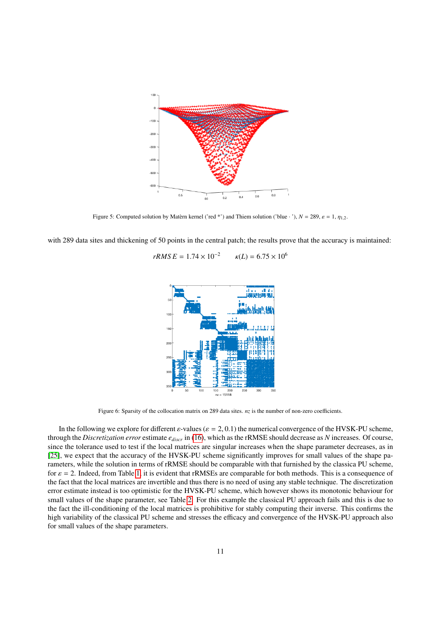<span id="page-10-0"></span>

Figure 5: Computed solution by Matern kernel ('red \*') and Thiem solution ('blue · '),  $N = 289$ ,  $\varepsilon = 1$ ,  $\eta_{1,2}$ .

<span id="page-10-1"></span>with 289 data sites and thickening of 50 points in the central patch; the results prove that the accuracy is maintained:

 $rRMS E = 1.74 \times 10^{-2}$  $\kappa(L) = 6.75 \times 10^6$ 



Figure 6: Sparsity of the collocation matrix on 289 data sites. *nz* is the number of non-zero coefficients.

In the following we explore for different  $\varepsilon$ -values ( $\varepsilon = 2, 0.1$ ) the numerical convergence of the HVSK-PU scheme, through the *Discretization error* estimate *ediscr* in [\(16\)](#page-7-2), which as the rRMSE should decrease as *N* increases. Of course, since the tolerance used to test if the local matrices are singular increases when the shape parameter decreases, as in [\[25\]](#page-13-7), we expect that the accuracy of the HVSK-PU scheme significantly improves for small values of the shape parameters, while the solution in terms of rRMSE should be comparable with that furnished by the classica PU scheme, for  $\varepsilon = 2$ . Indeed, from Table [1,](#page-11-0) it is evident that rRMSEs are comparable for both methods. This is a consequence of the fact that the local matrices are invertible and thus there is no need of using any stable technique. The discretization error estimate instead is too optimistic for the HVSK-PU scheme, which however shows its monotonic behaviour for small values of the shape parameter, see Table [2.](#page-11-1) For this example the classical PU approach fails and this is due to the fact the ill-conditioning of the local matrices is prohibitive for stably computing their inverse. This confirms the high variability of the classical PU scheme and stresses the efficacy and convergence of the HVSK-PU approach also for small values of the shape parameters.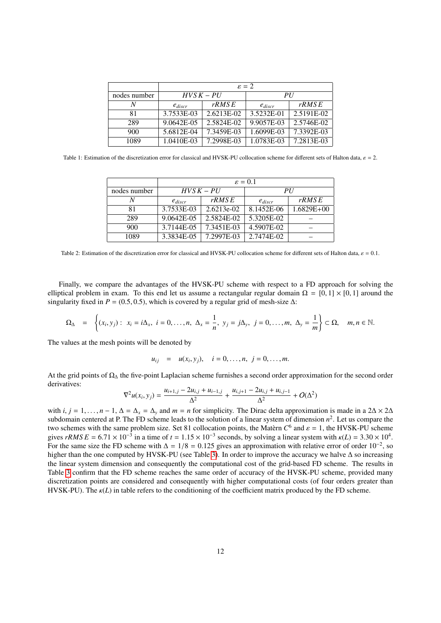<span id="page-11-0"></span>

|              | $\varepsilon = 2$ |            |             |            |  |
|--------------|-------------------|------------|-------------|------------|--|
| nodes number | $HVSK-PU$         |            | PII         |            |  |
| Ν            | $e_{discr}$       | rRMSE      | $e_{discr}$ | rRMSE      |  |
| 81           | 3.7533E-03        | 2.6213E-02 | 3.5232E-01  | 2.5191E-02 |  |
| 289          | 9.0642E-05        | 2.5824E-02 | 9.9057E-03  | 2.5746E-02 |  |
| 900          | 5.6812E-04        | 7.3459E-03 | 1.6099E-03  | 7.3392E-03 |  |
| 1089         | 1.0410E-03        | 7.2998E-03 | 1.0783E-03  | 7.2813E-03 |  |

<span id="page-11-1"></span>Table 1: Estimation of the discretization error for classical and HVSK-PU collocation scheme for different sets of Halton data,  $\varepsilon = 2$ .

|              | $\varepsilon = 0.1$ |            |             |                |  |
|--------------|---------------------|------------|-------------|----------------|--|
| nodes number | $HVSK-PU$           |            | PI          |                |  |
| N            | $e_{discr}$         | rRMSE      | $e_{discr}$ | rRMSE          |  |
| 81           | 3.7533E-03          | 2.6213e-02 | 8.1452E-06  | $1.6829E + 00$ |  |
| 289          | 9.0642E-05          | 2.5824E-02 | 5.3205E-02  |                |  |
| 900          | 3.7144E-05          | 7.3451E-03 | 4.5907E-02  |                |  |
| 1089         | 3.3834E-05          | 7.2997E-03 | 2.7474E-02  |                |  |

Table 2: Estimation of the discretization error for classical and HVSK-PU collocation scheme for different sets of Halton data,  $\varepsilon = 0.1$ .

Finally, we compare the advantages of the HVSK-PU scheme with respect to a FD approach for solving the elliptical problem in exam. To this end let us assume a rectangular regular domain  $\Omega = [0, 1] \times [0, 1]$  around the singularity fixed in  $P = (0.5, 0.5)$ , which is covered by a regular grid of mesh-size  $\Delta$ :

$$
\Omega_{\Delta} = \left\{ (x_i, y_j) : x_i = i\Delta_x, i = 0, \ldots, n, \Delta_x = \frac{1}{n}, y_j = j\Delta_y, j = 0, \ldots, m, \Delta_y = \frac{1}{m} \right\} \subset \Omega, \quad m, n \in \mathbb{N}.
$$

The values at the mesh points will be denoted by

$$
u_{ij} = u(x_i, y_j), \quad i = 0, ..., n, \ j = 0, ..., m.
$$

At the grid points of Ω<sub>Δ</sub> the five-point Laplacian scheme furnishes a second order approximation for the second order derivatives:

$$
\nabla^2 u(x_i, y_j) = \frac{u_{i+1,j} - 2u_{i,j} + u_{i-1,j}}{\Delta^2} + \frac{u_{i,j+1} - 2u_{i,j} + u_{i,j-1}}{\Delta^2} + O(\Delta^2)
$$

with *i*,  $j = 1, \ldots, n - 1$ ,  $\Delta = \Delta_x = \Delta_y$  and  $m = n$  for simplicity. The Dirac delta approximation is made in a 2 $\Delta \times 2\Delta$ subdomain centered at P. The FD scheme leads to the solution of a linear system of dimension  $n^2$ . Let us compare the two schemes with the same problem size. Set 81 collocation points, the Matèrn  $C^6$  and  $\varepsilon = 1$ , the HVSK-PU scheme<br>gives  $rRMSE = 6.71 \times 10^{-3}$  in a time of  $t = 1.15 \times 10^{-3}$  seconds, by solving a linear system with  $\nu(L) =$ gives *rRMS E* = 6.71 × 10<sup>-3</sup> in a time of  $t = 1.15 \times 10^{-3}$  seconds, by solving a linear system with  $\kappa(L) = 3.30 \times 10^{4}$ .<br>For the same size the ED scheme with  $\Delta = 1/8 = 0.125$  gives an approximation with relative erro For the same size the FD scheme with  $\Delta = 1/8 = 0.125$  gives an approximation with relative error of order  $10^{-2}$ , so higher than the one computed by HVSK-PU (see Table 3). In order to improve the accuracy we halve  $\Delta$  s higher than the one computed by HVSK-PU (see Table [3\)](#page-12-17). In order to improve the accuracy we halve ∆ so increasing the linear system dimension and consequently the computational cost of the grid-based FD scheme. The results in Table [3](#page-12-17) confirm that the FD scheme reaches the same order of accuracy of the HVSK-PU scheme, provided many discretization points are considered and consequently with higher computational costs (of four orders greater than HVSK-PU). The  $\kappa(L)$  in table refers to the conditioning of the coefficient matrix produced by the FD scheme.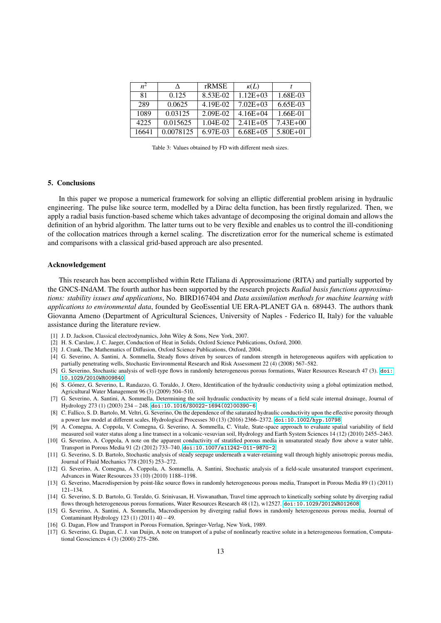<span id="page-12-17"></span>

| $n^2$ | л         | rRMSE    | $\kappa(L)$   |              |
|-------|-----------|----------|---------------|--------------|
| 81    | 0.125     | 8.53E-02 | $1.12E + 03$  | 1.68E-03     |
| 289   | 0.0625    | 4.19E-02 | $7.02E + 03$  | $6.65E-03$   |
| 1089  | 0.03125   | 2.09E-02 | $4.16E + 04$  | 1.66E-01     |
| 4225  | 0.015625  | 1.04E-02 | $2.41E + 0.5$ | $7.43E + 00$ |
| 16641 | 0.0078125 | 6.97E-03 | $6.68E + 0.5$ | $5.80E + 01$ |

Table 3: Values obtained by FD with different mesh sizes.

## 5. Conclusions

In this paper we propose a numerical framework for solving an elliptic differential problem arising in hydraulic engineering. The pulse like source term, modelled by a Dirac delta function, has been firstly regularized. Then, we apply a radial basis function-based scheme which takes advantage of decomposing the original domain and allows the definition of an hybrid algorithm. The latter turns out to be very flexible and enables us to control the ill-conditioning of the collocation matrices through a kernel scaling. The discretization error for the numerical scheme is estimated and comparisons with a classical grid-based approach are also presented.

#### Acknowledgement

This research has been accomplished within Rete ITaliana di Approssimazione (RITA) and partially supported by the GNCS-INdAM. The fourth author has been supported by the research projects *Radial basis functions approximations: stability issues and applications*, No. BIRD167404 and *Data assimilation methods for machine learning with applications to environmental data*, founded by GeoEssential UE ERA-PLANET GA n. 689443. The authors thank Giovanna Ameno (Department of Agricultural Sciences, University of Naples - Federico II, Italy) for the valuable assistance during the literature review.

- <span id="page-12-0"></span>[1] J. D. Jackson, Classical electrodynamics, John Wiley & Sons, New York, 2007.
- <span id="page-12-1"></span>[2] H. S. Carslaw, J. C. Jaeger, Conduction of Heat in Solids, Oxford Science Publications, Oxford, 2000.
- <span id="page-12-2"></span>[3] J. Crank, The Mathematics of Diffusion, Oxford Science Publications, Oxford, 2004.
- <span id="page-12-3"></span>[4] G. Severino, A. Santini, A. Sommella, Steady flows driven by sources of random strength in heterogeneous aquifers with application to partially penetrating wells, Stochastic Environmental Research and Risk Assessment 22 (4) (2008) 567–582.
- <span id="page-12-4"></span>[5] G. Severino, Stochastic analysis of well-type flows in randomly heterogeneous porous formations, Water Resources Research 47 (3). [doi:](http://dx.doi.org/10.1029/2010WR009840) [10.1029/2010WR009840](http://dx.doi.org/10.1029/2010WR009840).
- <span id="page-12-5"></span>[6] S. Gómez, G. Severino, L. Randazzo, G. Toraldo, J. Otero, Identification of the hydraulic conductivity using a global optimization method, Agricultural Water Management 96 (3) (2009) 504–510.
- <span id="page-12-6"></span>[7] G. Severino, A. Santini, A. Sommella, Determining the soil hydraulic conductivity by means of a field scale internal drainage, Journal of Hydrology 273 (1) (2003) 234 – 248. [doi:10.1016/S0022-1694\(02\)00390-6](http://dx.doi.org/10.1016/S0022-1694(02)00390-6).
- <span id="page-12-7"></span>[8] C. Fallico, S. D. Bartolo, M. Veltri, G. Severino, On the dependence of the saturated hydraulic conductivity upon the effective porosity through a power law model at different scales, Hydrological Processes 30 (13) (2016) 2366–2372. [doi:10.1002/hyp.10798](http://dx.doi.org/10.1002/hyp.10798).
- <span id="page-12-8"></span>[9] A. Comegna, A. Coppola, V. Comegna, G. Severino, A. Sommella, C. Vitale, State-space approach to evaluate spatial variability of field measured soil water status along a line transect in a volcanic-vesuvian soil, Hydrology and Earth System Sciences 14 (12) (2010) 2455–2463.
- <span id="page-12-9"></span>[10] G. Severino, A. Coppola, A note on the apparent conductivity of stratified porous media in unsaturated steady flow above a water table, Transport in Porous Media 91 (2) (2012) 733–740. [doi:10.1007/s11242-011-9870-2](http://dx.doi.org/10.1007/s11242-011-9870-2).
- <span id="page-12-10"></span>[11] G. Severino, S. D. Bartolo, Stochastic analysis of steady seepage underneath a water-retaining wall through highly anisotropic porous media, Journal of Fluid Mechanics 778 (2015) 253–272.
- <span id="page-12-11"></span>[12] G. Severino, A. Comegna, A. Coppola, A. Sommella, A. Santini, Stochastic analysis of a field-scale unsaturated transport experiment, Advances in Water Resources 33 (10) (2010) 1188–1198.
- <span id="page-12-12"></span>[13] G. Severino, Macrodispersion by point-like source flows in randomly heterogeneous porous media, Transport in Porous Media 89 (1) (2011) 121–134.
- <span id="page-12-13"></span>[14] G. Severino, S. D. Bartolo, G. Toraldo, G. Srinivasan, H. Viswanathan, Travel time approach to kinetically sorbing solute by diverging radial flows through heterogeneous porous formations, Water Resources Research 48 (12), w12527. [doi:10.1029/2012WR012608](http://dx.doi.org/10.1029/2012WR012608).
- <span id="page-12-14"></span>[15] G. Severino, A. Santini, A. Sommella, Macrodispersion by diverging radial flows in randomly heterogeneous porous media, Journal of Contaminant Hydrology 123 (1) (2011) 40 – 49.
- <span id="page-12-15"></span>[16] G. Dagan, Flow and Transport in Porous Formation, Springer-Verlag, New York, 1989.
- <span id="page-12-16"></span>[17] G. Severino, G. Dagan, C. J. van Duijn, A note on transport of a pulse of nonlinearly reactive solute in a heterogeneous formation, Computational Geosciences 4 (3) (2000) 275–286.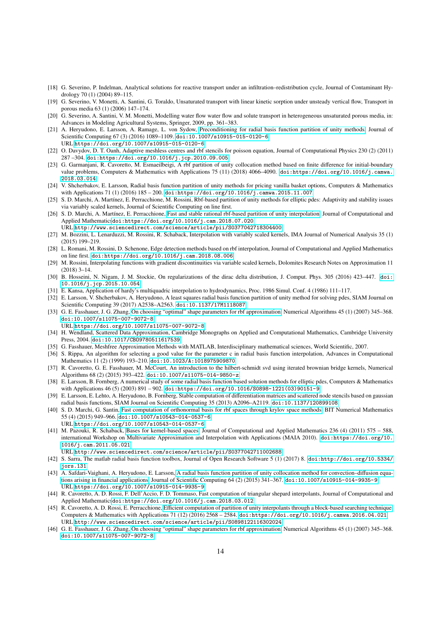- <span id="page-13-0"></span>[18] G. Severino, P. Indelman, Analytical solutions for reactive transport under an infiltration–redistribution cycle, Journal of Contaminant Hydrology 70 (1) (2004) 89–115.
- <span id="page-13-1"></span>[19] G. Severino, V. Monetti, A. Santini, G. Toraldo, Unsaturated transport with linear kinetic sorption under unsteady vertical flow, Transport in porous media 63 (1) (2006) 147–174.
- <span id="page-13-2"></span>[20] G. Severino, A. Santini, V. M. Monetti, Modelling water flow water flow and solute transport in heterogeneous unsaturated porous media, in: Advances in Modeling Agricultural Systems, Springer, 2009, pp. 361–383.
- <span id="page-13-3"></span>[21] A. Heryudono, E. Larsson, A. Ramage, L. von Sydow, [Preconditioning for radial basis function partition of unity methods,](https://doi.org/10.1007/s10915-015-0120-6) Journal of Scientific Computing 67 (3) (2016) 1089–1109. [doi:10.1007/s10915-015-0120-6](http://dx.doi.org/10.1007/s10915-015-0120-6). URL <https://doi.org/10.1007/s10915-015-0120-6>
- <span id="page-13-4"></span>[22] O. Davydov, D. T. Oanh, Adaptive meshless centres and rbf stencils for poisson equation, Journal of Computational Physics 230 (2) (2011) 287 –304. [doi:https://doi.org/10.1016/j.jcp.2010.09.005](http://dx.doi.org/https://doi.org/10.1016/j.jcp.2010.09.005).
- <span id="page-13-5"></span>[23] G. Garmanjani, R. Cavoretto, M. Esmaeilbeigi, A rbf partition of unity collocation method based on finite difference for initial-boundary value problems, Computers & Mathematics with Applications 75 (11) (2018) 4066–4090. [doi:https://doi.org/10.1016/j.camwa.](http://dx.doi.org/https://doi.org/10.1016/j.camwa.2018.03.014) [2018.03.014](http://dx.doi.org/https://doi.org/10.1016/j.camwa.2018.03.014).
- <span id="page-13-6"></span>[24] V. Shcherbakov, E. Larsson, Radial basis function partition of unity methods for pricing vanilla basket options, Computers & Mathematics with Applications 71 (1) (2016) 185 – 200. [doi:https://doi.org/10.1016/j.camwa.2015.11.007](http://dx.doi.org/https://doi.org/10.1016/j.camwa.2015.11.007).
- <span id="page-13-7"></span>[25] S. D. Marchi, A. Martínez, E. Perracchione, M. Rossini, Rbf-based partition of unity methods for elliptic pdes: Adaptivity and stability issues via variably scaled kernels, Journal of Scientific Computing on line first.
- <span id="page-13-8"></span>[26] S. D. Marchi, A. Martínez, E. Perracchione, [Fast and stable rational rbf-based partition of unity interpolation,](http://www.sciencedirect.com/science/article/pii/S0377042718304400) Journal of Computational and Applied Mathematics[doi:https://doi.org/10.1016/j.cam.2018.07.020](http://dx.doi.org/https://doi.org/10.1016/j.cam.2018.07.020).
- URL <http://www.sciencedirect.com/science/article/pii/S0377042718304400>
- <span id="page-13-9"></span>[27] M. Bozzini, L. Lenarduzzi, M. Rossini, R. Schaback, Interpolation with variably scaled kernels, IMA Journal of Numerical Analysis 35 (1) (2015) 199–219.
- <span id="page-13-10"></span>[28] L. Romani, M. Rossini, D. Schenone, Edge detection methods based on rbf interpolation, Journal of Computational and Applied Mathematics on line first. [doi:https://doi.org/10.1016/j.cam.2018.08.006](http://dx.doi.org/https://doi.org/10.1016/j.cam.2018.08.006).
- <span id="page-13-11"></span>[29] M. Rossini, Interpolating functions with gradient discontinuities via variable scaled kernels, Dolomites Research Notes on Approximation 11 (2018) 3–14.
- <span id="page-13-12"></span>[30] B. Hosseini, N. Nigam, J. M. Stockie, On regularizations of the dirac delta distribution, J. Comput. Phys. 305 (2016) 423–447. [doi:](http://dx.doi.org/10.1016/j.jcp.2015.10.054) [10.1016/j.jcp.2015.10.054](http://dx.doi.org/10.1016/j.jcp.2015.10.054).
- <span id="page-13-13"></span>[31] E. Kansa, Application of hardy's multiquadric interpolation to hydrodynamics, Proc. 1986 Simul. Conf. 4 (1986) 111–117.
- <span id="page-13-14"></span>[32] E. Larsson, V. Shcherbakov, A. Heryudono, A least squares radial basis function partition of unity method for solving pdes, SIAM Journal on Scientific Computing 39 (2017) A2538–A2563. [doi:10.1137/17M1118087](http://dx.doi.org/10.1137/17M1118087).
- <span id="page-13-15"></span>[33] G. E. Fasshauer, J. G. Zhang, [On choosing "optimal" shape parameters for rbf approximation,](https://doi.org/10.1007/s11075-007-9072-8) Numerical Algorithms 45 (1) (2007) 345–368. [doi:10.1007/s11075-007-9072-8](http://dx.doi.org/10.1007/s11075-007-9072-8).

URL <https://doi.org/10.1007/s11075-007-9072-8>

- <span id="page-13-16"></span>[34] H. Wendland, Scattered Data Approximation, Cambridge Monographs on Applied and Computational Mathematics, Cambridge University Press, 2004. [doi:10.1017/CBO9780511617539](http://dx.doi.org/10.1017/CBO9780511617539).
- <span id="page-13-17"></span>[35] G. Fasshauer, Meshfree Approximation Methods with MATLAB, Interdisciplinary mathematical sciences, World Scientific, 2007.
- <span id="page-13-18"></span>[36] S. Rippa, An algorithm for selecting a good value for the parameter c in radial basis function interpolation, Advances in Computational Mathematics 11 (2) (1999) 193–210. [doi:10.1023/A:1018975909870](http://dx.doi.org/10.1023/A:1018975909870).
- <span id="page-13-19"></span>[37] R. Cavoretto, G. E. Fasshauer, M. McCourt, An introduction to the hilbert-schmidt svd using iterated brownian bridge kernels, Numerical Algorithms 68 (2) (2015) 393–422. [doi:10.1007/s11075-014-9850-z](http://dx.doi.org/10.1007/s11075-014-9850-z).
- <span id="page-13-20"></span>[38] E. Larsson, B. Fornberg, A numerical study of some radial basis function based solution methods for elliptic pdes, Computers & Mathematics with Applications 46 (5) (2003) 891 – 902. [doi:https://doi.org/10.1016/S0898-1221\(03\)90151-9](http://dx.doi.org/https://doi.org/10.1016/S0898-1221(03)90151-9).
- <span id="page-13-21"></span>[39] E. Larsson, E. Lehto, A. Heryudono, B. Fornberg, Stable computation of differentiation matrices and scattered node stencils based on gaussian radial basis functions, SIAM Journal on Scientific Computing 35 (2013) A2096–A2119. [doi:10.1137/120899108](http://dx.doi.org/10.1137/120899108).
- <span id="page-13-22"></span>[40] S. D. Marchi, G. Santin, [Fast computation of orthonormal basis for rbf spaces through krylov space methods,](https://doi.org/10.1007/s10543-014-0537-6) BIT Numerical Mathematics 55 (4) (2015) 949–966. [doi:10.1007/s10543-014-0537-6](http://dx.doi.org/10.1007/s10543-014-0537-6). URL <https://doi.org/10.1007/s10543-014-0537-6>
- <span id="page-13-23"></span>[41] M. Pazouki, R. Schaback, [Bases for kernel-based spaces,](http://www.sciencedirect.com/science/article/pii/S0377042711002688) Journal of Computational and Applied Mathematics 236 (4) (2011) 575 – 588, international Workshop on Multivariate Approximation and Interpolation with Applications (MAIA 2010). [doi:https://doi.org/10.](http://dx.doi.org/https://doi.org/10.1016/j.cam.2011.05.021) [1016/j.cam.2011.05.021](http://dx.doi.org/https://doi.org/10.1016/j.cam.2011.05.021).
	- URL <http://www.sciencedirect.com/science/article/pii/S0377042711002688>
- <span id="page-13-24"></span>[42] S. Sarra, The matlab radial basis function toolbox, Journal of Open Research Software 5 (1) (2017) 8. [doi:http://doi.org/10.5334/](http://dx.doi.org/http://doi.org/10.5334/jors.131) [jors.131](http://dx.doi.org/http://doi.org/10.5334/jors.131).
- <span id="page-13-25"></span>[43] A. Safdari-Vaighani, A. Heryudono, E. Larsson, [A radial basis function partition of unity collocation method for convection–di](https://doi.org/10.1007/s10915-014-9935-9)ffusion equa[tions arising in financial applications,](https://doi.org/10.1007/s10915-014-9935-9) Journal of Scientific Computing 64 (2) (2015) 341–367. [doi:10.1007/s10915-014-9935-9](http://dx.doi.org/10.1007/s10915-014-9935-9). URL <https://doi.org/10.1007/s10915-014-9935-9>
- <span id="page-13-26"></span>[44] R. Cavoretto, A. D. Rossi, F. Dell'Accio, F. D. Tommaso, Fast computation of triangular shepard interpolants, Journal of Computational and Applied Mathematics[doi:https://doi.org/10.1016/j.cam.2018.03.012](http://dx.doi.org/https://doi.org/10.1016/j.cam.2018.03.012).
- <span id="page-13-27"></span>[45] R. Cavoretto, A. D. Rossi, E. Perracchione, Effi[cient computation of partition of unity interpolants through a block-based searching technique,](http://www.sciencedirect.com/science/article/pii/S0898122116302024) Computers & Mathematics with Applications 71 (12) (2016) 2568 – 2584. [doi:https://doi.org/10.1016/j.camwa.2016.04.021](http://dx.doi.org/https://doi.org/10.1016/j.camwa.2016.04.021). URL <http://www.sciencedirect.com/science/article/pii/S0898122116302024>
- <span id="page-13-28"></span>[46] G. E. Fasshauer, J. G. Zhang, [On choosing "optimal" shape parameters for rbf approximation,](https://doi.org/10.1007/s11075-007-9072-8) Numerical Algorithms 45 (1) (2007) 345–368. [doi:10.1007/s11075-007-9072-8](http://dx.doi.org/10.1007/s11075-007-9072-8).